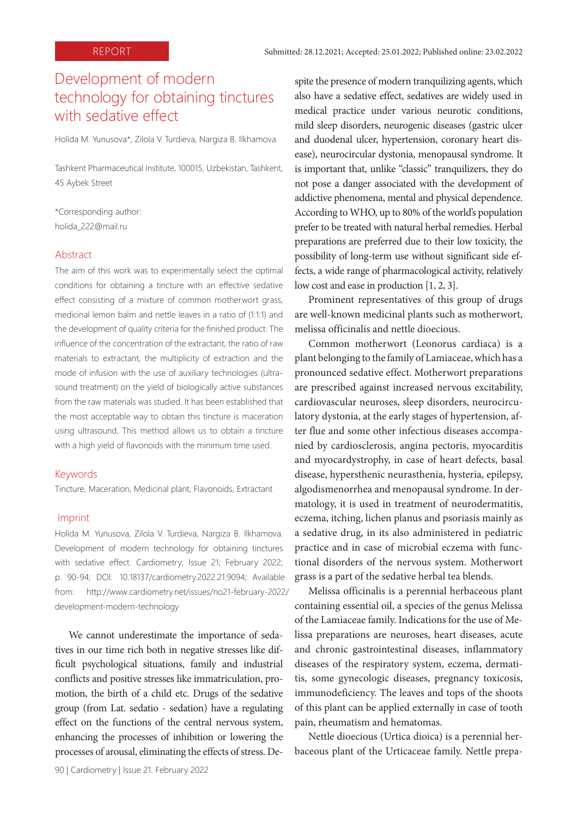# Development of modern technology for obtaining tinctures with sedative effect

Holida M. Yunusova\*, Zilola V. Turdieva, Nargiza B. Ilkhamova

Tashkent Pharmaceutical Institute, 100015, Uzbekistan, Tashkent, 45 Aybek Street

\*Corresponding author: holida\_222@mail.ru

# **Abstract**

The aim of this work was to experimentally select the optimal conditions for obtaining a tincture with an effective sedative effect consisting of a mixture of common motherwort grass, medicinal lemon balm and nettle leaves in a ratio of (1:1:1) and the development of quality criteria for the finished product. The influence of the concentration of the extractant, the ratio of raw materials to extractant, the multiplicity of extraction and the mode of infusion with the use of auxiliary technologies (ultrasound treatment) on the yield of biologically active substances from the raw materials was studied. It has been established that the most acceptable way to obtain this tincture is maceration using ultrasound. This method allows us to obtain a tincture with a high yield of flavonoids with the minimum time used.

#### Keywords

Tincture, Maceration, Medicinal plant, Flavonoids, Extractant

#### Imprint

Holida M. Yunusova, Zilola V. Turdieva, Nargiza B. Ilkhamova. Development of modern technology for obtaining tinctures with sedative effect. Cardiometry; Issue 21; February 2022; p. 90-94; DOI: 10.18137/cardiometry.2022.21.9094; Available from: http://www.cardiometry.net/issues/no21-february-2022/ development-modern-technology

We cannot underestimate the importance of sedatives in our time rich both in negative stresses like difficult psychological situations, family and industrial conflicts and positive stresses like immatriculation, promotion, the birth of a child etc. Drugs of the sedative group (from Lat. sedatio - sedation) have a regulating effect on the functions of the central nervous system, enhancing the processes of inhibition or lowering the processes of arousal, eliminating the effects of stress. De-

90 | Cardiometry | Issue 21. February 2022

spite the presence of modern tranquilizing agents, which also have a sedative effect, sedatives are widely used in medical practice under various neurotic conditions, mild sleep disorders, neurogenic diseases (gastric ulcer and duodenal ulcer, hypertension, coronary heart disease), neurocircular dystonia, menopausal syndrome. It is important that, unlike "classic" tranquilizers, they do not pose a danger associated with the development of addictive phenomena, mental and physical dependence. According to WHO, up to 80% of the world's population prefer to be treated with natural herbal remedies. Herbal preparations are preferred due to their low toxicity, the possibility of long-term use without significant side effects, a wide range of pharmacological activity, relatively low cost and ease in production [1, 2, 3].

Prominent representatives of this group of drugs are well-known medicinal plants such as motherwort, melissa officinalis and nettle dioecious.

Common motherwort (Leonorus cardiaca) is a plant belonging to the family of Lamiaceae, which has a pronounced sedative effect. Motherwort preparations are prescribed against increased nervous excitability, cardiovascular neuroses, sleep disorders, neurocirculatory dystonia, at the early stages of hypertension, after flue and some other infectious diseases accompanied by cardiosclerosis, angina pectoris, myocarditis and myocardystrophy, in case of heart defects, basal disease, hypersthenic neurasthenia, hysteria, epilepsy, algodismenorrhea and menopausal syndrome. In dermatology, it is used in treatment of neurodermatitis, eczema, itching, lichen planus and psoriasis mainly as a sedative drug, in its also administered in pediatric practice and in case of microbial eczema with functional disorders of the nervous system. Motherwort grass is a part of the sedative herbal tea blends.

Melissa officinalis is a perennial herbaceous plant containing essential oil, a species of the genus Melissa of the Lamiaceae family. Indications for the use of Melissa preparations are neuroses, heart diseases, acute and chronic gastrointestinal diseases, inflammatory diseases of the respiratory system, eczema, dermatitis, some gynecologic diseases, pregnancy toxicosis, immunodeficiency. The leaves and tops of the shoots of this plant can be applied externally in case of tooth pain, rheumatism and hematomas.

Nettle dioecious (Urtica dioica) is a perennial herbaceous plant of the Urticaceae family. Nettle prepa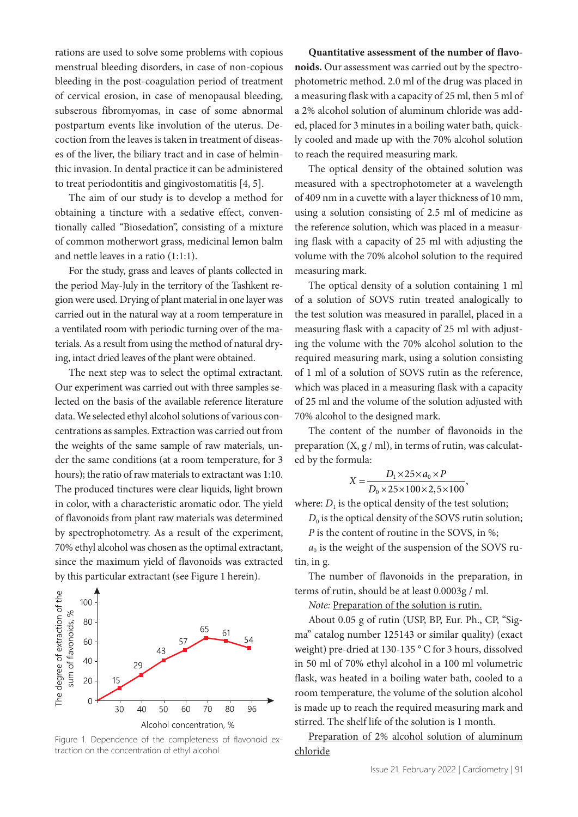rations are used to solve some problems with copious menstrual bleeding disorders, in case of non-copious bleeding in the post-coagulation period of treatment of cervical erosion, in case of menopausal bleeding, subserous fibromyomas, in case of some abnormal postpartum events like involution of the uterus. Decoction from the leaves is taken in treatment of diseases of the liver, the biliary tract and in case of helminthic invasion. In dental practice it can be administered to treat periodontitis and gingivostomatitis [4, 5].

The aim of our study is to develop a method for obtaining a tincture with a sedative effect, conventionally called "Biosedation", consisting of a mixture of common motherwort grass, medicinal lemon balm and nettle leaves in a ratio (1:1:1).

For the study, grass and leaves of plants collected in the period May-July in the territory of the Tashkent region were used. Drying of plant material in one layer was carried out in the natural way at a room temperature in a ventilated room with periodic turning over of the materials. As a result from using the method of natural drying, intact dried leaves of the plant were obtained.

The next step was to select the optimal extractant. Our experiment was carried out with three samples selected on the basis of the available reference literature data. We selected ethyl alcohol solutions of various concentrations as samples. Extraction was carried out from the weights of the same sample of raw materials, under the same conditions (at a room temperature, for 3 hours); the ratio of raw materials to extractant was 1:10. The produced tinctures were clear liquids, light brown in color, with a characteristic aromatic odor. The yield of flavonoids from plant raw materials was determined by spectrophotometry. As a result of the experiment, 70% ethyl alcohol was chosen as the optimal extractant, since the maximum yield of flavonoids was extracted by this particular extractant (see Figure 1 herein).



Figure 1. Dependence of the completeness of flavonoid extraction on the concentration of ethyl alcohol

**Quantitative assessment of the number of flavonoids.** Our assessment was carried out by the spectrophotometric method. 2.0 ml of the drug was placed in a measuring flask with a capacity of 25 ml, then 5 ml of a 2% alcohol solution of aluminum chloride was added, placed for 3 minutes in a boiling water bath, quickly cooled and made up with the 70% alcohol solution to reach the required measuring mark.

The optical density of the obtained solution was measured with a spectrophotometer at a wavelength of 409 nm in a cuvette with a layer thickness of 10 mm, using a solution consisting of 2.5 ml of medicine as the reference solution, which was placed in a measuring flask with a capacity of 25 ml with adjusting the volume with the 70% alcohol solution to the required measuring mark.

The optical density of a solution containing 1 ml of a solution of SOVS rutin treated analogically to the test solution was measured in parallel, placed in a measuring flask with a capacity of 25 ml with adjusting the volume with the 70% alcohol solution to the required measuring mark, using a solution consisting of 1 ml of a solution of SOVS rutin as the reference, which was placed in a measuring flask with a capacity of 25 ml and the volume of the solution adjusted with 70% alcohol to the designed mark.

The content of the number of flavonoids in the preparation  $(X, g / ml)$ , in terms of rutin, was calculated by the formula:

$$
X = \frac{D_1 \times 25 \times a_0 \times P}{D_0 \times 25 \times 100 \times 2, 5 \times 100}
$$

where:  $D_1$  is the optical density of the test solution;

 $D_0$  is the optical density of the SOVS rutin solution;

*P* is the content of routine in the SOVS, in %;

 $a<sub>0</sub>$  is the weight of the suspension of the SOVS rutin, in g.

The number of flavonoids in the preparation, in terms of rutin, should be at least 0.0003g / ml.

*Note:* Preparation of the solution is rutin.

About 0.05 g of rutin (USP, BP, Eur. Ph., CP, "Sigma" catalog number 125143 or similar quality) (exact weight) pre-dried at 130-135 ° C for 3 hours, dissolved in 50 ml of 70% ethyl alcohol in a 100 ml volumetric flask, was heated in a boiling water bath, cooled to a room temperature, the volume of the solution alcohol is made up to reach the required measuring mark and stirred. The shelf life of the solution is 1 month.

Preparation of 2% alcohol solution of aluminum chloride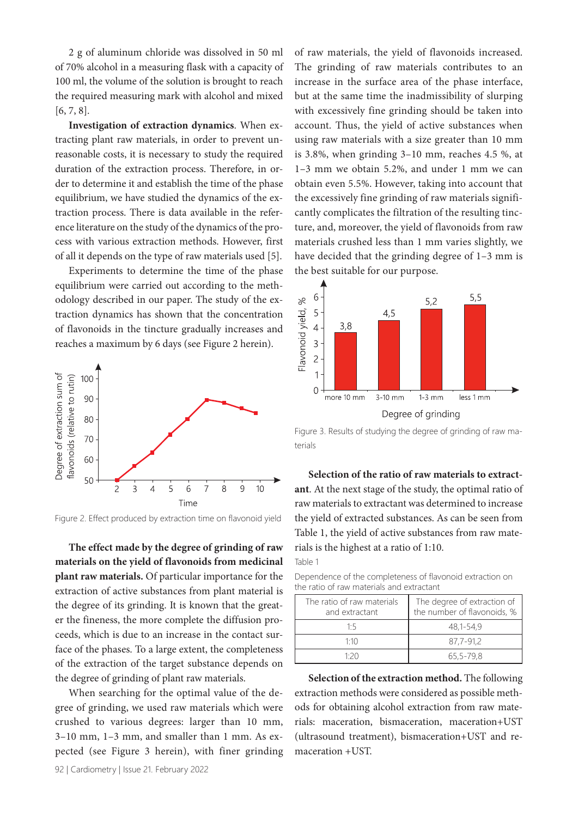2 g of aluminum chloride was dissolved in 50 ml of 70% alcohol in a measuring flask with a capacity of 100 ml, the volume of the solution is brought to reach the required measuring mark with alcohol and mixed [6, 7, 8].

**Investigation of extraction dynamics**. When extracting plant raw materials, in order to prevent unreasonable costs, it is necessary to study the required duration of the extraction process. Therefore, in order to determine it and establish the time of the phase equilibrium, we have studied the dynamics of the extraction process. There is data available in the reference literature on the study of the dynamics of the process with various extraction methods. However, first of all it depends on the type of raw materials used [5].

Experiments to determine the time of the phase equilibrium were carried out according to the methodology described in our paper. The study of the extraction dynamics has shown that the concentration of flavonoids in the tincture gradually increases and reaches a maximum by 6 days (see Figure 2 herein).



Figure 2. Effect produced by extraction time on flavonoid yield

**The effect made by the degree of grinding of raw materials on the yield of flavonoids from medicinal plant raw materials.** Of particular importance for the extraction of active substances from plant material is the degree of its grinding. It is known that the greater the fineness, the more complete the diffusion proceeds, which is due to an increase in the contact surface of the phases. To a large extent, the completeness of the extraction of the target substance depends on the degree of grinding of plant raw materials.

When searching for the optimal value of the degree of grinding, we used raw materials which were crushed to various degrees: larger than 10 mm, 3–10 mm, 1–3 mm, and smaller than 1 mm. As expected (see Figure 3 herein), with finer grinding

92 | Cardiometry | Issue 21. February 2022

of raw materials, the yield of flavonoids increased. The grinding of raw materials contributes to an increase in the surface area of the phase interface, but at the same time the inadmissibility of slurping with excessively fine grinding should be taken into account. Thus, the yield of active substances when using raw materials with a size greater than 10 mm is 3.8%, when grinding 3–10 mm, reaches 4.5 %, at 1–3 mm we obtain 5.2%, and under 1 mm we can obtain even 5.5%. However, taking into account that the excessively fine grinding of raw materials significantly complicates the filtration of the resulting tincture, and, moreover, the yield of flavonoids from raw materials crushed less than 1 mm varies slightly, we have decided that the grinding degree of 1–3 mm is the best suitable for our purpose.



Figure 3. Results of studying the degree of grinding of raw materials

**Selection of the ratio of raw materials to extractant**. At the next stage of the study, the optimal ratio of raw materials to extractant was determined to increase the yield of extracted substances. As can be seen from Table 1, the yield of active substances from raw materials is the highest at a ratio of 1:10. Table 1

Dependence of the completeness of flavonoid extraction on the ratio of raw materials and extractant

| The ratio of raw materials<br>and extractant | The degree of extraction of<br>the number of flavonoids, % |  |
|----------------------------------------------|------------------------------------------------------------|--|
| 1.5                                          | 48,1-54,9                                                  |  |
| 1.10                                         | 87.7-91.2                                                  |  |
| 1.20                                         | 65,5-79.8                                                  |  |

**Selection of the extraction method.** The following extraction methods were considered as possible methods for obtaining alcohol extraction from raw materials: maceration, bismaceration, maceration+UST (ultrasound treatment), bismaceration+UST and remaceration +UST.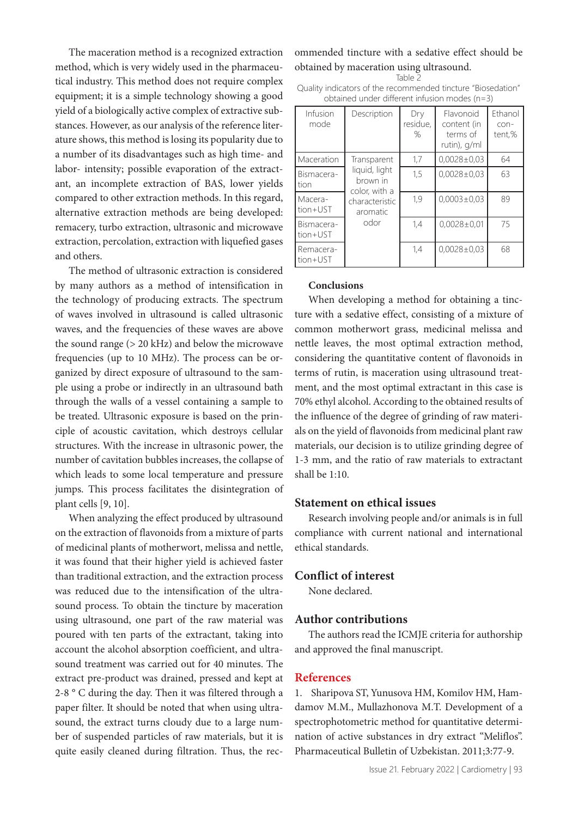The maceration method is a recognized extraction method, which is very widely used in the pharmaceutical industry. This method does not require complex equipment; it is a simple technology showing a good yield of a biologically active complex of extractive substances. However, as our analysis of the reference literature shows, this method is losing its popularity due to a number of its disadvantages such as high time- and labor- intensity; possible evaporation of the extractant, an incomplete extraction of BAS, lower yields compared to other extraction methods. In this regard, alternative extraction methods are being developed: remacery, turbo extraction, ultrasonic and microwave extraction, percolation, extraction with liquefied gases and others.

The method of ultrasonic extraction is considered by many authors as a method of intensification in the technology of producing extracts. The spectrum of waves involved in ultrasound is called ultrasonic waves, and the frequencies of these waves are above the sound range (> 20 kHz) and below the microwave frequencies (up to 10 MHz). The process can be organized by direct exposure of ultrasound to the sample using a probe or indirectly in an ultrasound bath through the walls of a vessel containing a sample to be treated. Ultrasonic exposure is based on the principle of acoustic cavitation, which destroys cellular structures. With the increase in ultrasonic power, the number of cavitation bubbles increases, the collapse of which leads to some local temperature and pressure jumps. This process facilitates the disintegration of plant cells [9, 10].

When analyzing the effect produced by ultrasound on the extraction of flavonoids from a mixture of parts of medicinal plants of motherwort, melissa and nettle, it was found that their higher yield is achieved faster than traditional extraction, and the extraction process was reduced due to the intensification of the ultrasound process. To obtain the tincture by maceration using ultrasound, one part of the raw material was poured with ten parts of the extractant, taking into account the alcohol absorption coefficient, and ultrasound treatment was carried out for 40 minutes. The extract pre-product was drained, pressed and kept at 2-8 ° C during the day. Then it was filtered through a paper filter. It should be noted that when using ultrasound, the extract turns cloudy due to a large number of suspended particles of raw materials, but it is quite easily cleaned during filtration. Thus, the recommended tincture with a sedative effect should be obtained by maceration using ultrasound.

Table 2

Quality indicators of the recommended tincture "Biosedation" obtained under different infusion modes (n=3)

| Infusion<br>mode       | Description                                                                                     | Dry<br>residue,<br>% | Flavonoid<br>content (in<br>terms of<br>rutin), g/ml | Ethanol<br>con-<br>tent,% |
|------------------------|-------------------------------------------------------------------------------------------------|----------------------|------------------------------------------------------|---------------------------|
| Maceration             | Transparent<br>liquid, light<br>brown in<br>color, with a<br>characteristic<br>aromatic<br>odor | 1,7                  | $0,0028 \pm 0.03$                                    | 64                        |
| Bismacera-<br>tion     |                                                                                                 | 1,5                  | $0,0028\pm0,03$                                      | 63                        |
| Macera-<br>tion+UST    |                                                                                                 | 1,9                  | $0,0003 \pm 0,03$                                    | 89                        |
| Bismacera-<br>tion+UST |                                                                                                 | 1,4                  | $0.0028 \pm 0.01$                                    | 75                        |
| Remacera-<br>tion+UST  |                                                                                                 | 1,4                  | $0,0028 \pm 0.03$                                    | 68                        |

#### **Conclusions**

When developing a method for obtaining a tincture with a sedative effect, consisting of a mixture of common motherwort grass, medicinal melissa and nettle leaves, the most optimal extraction method, considering the quantitative content of flavonoids in terms of rutin, is maceration using ultrasound treatment, and the most optimal extractant in this case is 70% ethyl alcohol. According to the obtained results of the influence of the degree of grinding of raw materials on the yield of flavonoids from medicinal plant raw materials, our decision is to utilize grinding degree of 1-3 mm, and the ratio of raw materials to extractant shall be  $1:10$ .

## **Statement on ethical issues**

Research involving people and/or animals is in full compliance with current national and international ethical standards.

## **Conflict of interest**

None declared.

#### **Author contributions**

The authors read the ICMJE criteria for authorship and approved the final manuscript.

#### **References**

1. Sharipova ST, Yunusova HM, Komilov HM, Hamdamov M.M., Mullazhonova M.T. Development of a spectrophotometric method for quantitative determination of active substances in dry extract "Meliflos". Pharmaceutical Bulletin of Uzbekistan. 2011;3:77-9.